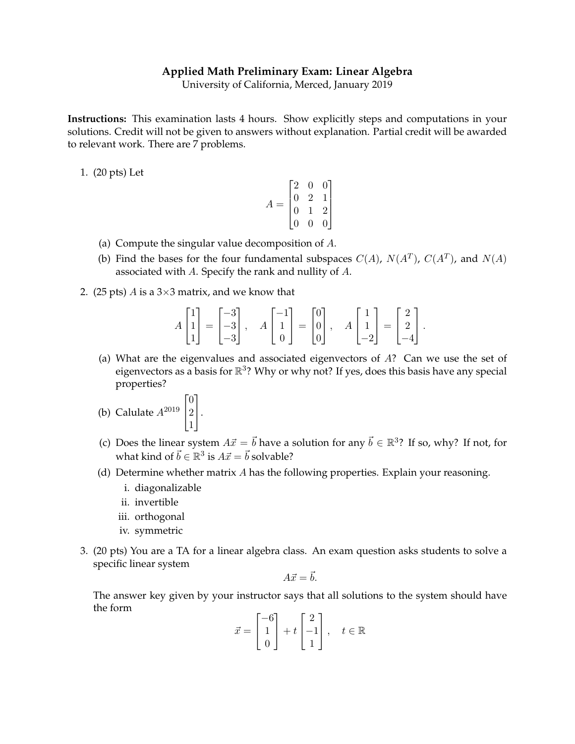## **Applied Math Preliminary Exam: Linear Algebra**

University of California, Merced, January 2019

**Instructions:** This examination lasts 4 hours. Show explicitly steps and computations in your solutions. Credit will not be given to answers without explanation. Partial credit will be awarded to relevant work. There are 7 problems.

1. (20 pts) Let

$$
A = \begin{bmatrix} 2 & 0 & 0 \\ 0 & 2 & 1 \\ 0 & 1 & 2 \\ 0 & 0 & 0 \end{bmatrix}
$$

- (a) Compute the singular value decomposition of A.
- (b) Find the bases for the four fundamental subspaces  $C(A)$ ,  $N(A^T)$ ,  $C(A^T)$ , and  $N(A)$ associated with A. Specify the rank and nullity of A.
- 2. (25 pts) A is a  $3\times3$  matrix, and we know that

$$
A\begin{bmatrix} 1 \\ 1 \\ 1 \end{bmatrix} = \begin{bmatrix} -3 \\ -3 \\ -3 \end{bmatrix}, \quad A\begin{bmatrix} -1 \\ 1 \\ 0 \end{bmatrix} = \begin{bmatrix} 0 \\ 0 \\ 0 \end{bmatrix}, \quad A\begin{bmatrix} 1 \\ 1 \\ -2 \end{bmatrix} = \begin{bmatrix} 2 \\ 2 \\ -4 \end{bmatrix}.
$$

(a) What are the eigenvalues and associated eigenvectors of A? Can we use the set of eigenvectors as a basis for  $\mathbb{R}^3$ ? Why or why not? If yes, does this basis have any special properties?

(b) Calculate 
$$
A^{2019}\begin{bmatrix} 0 \\ 2 \\ 1 \end{bmatrix}
$$
.

- (c) Does the linear system  $A\vec{x} = \vec{b}$  have a solution for any  $\vec{b} \in \mathbb{R}^3$ ? If so, why? If not, for what kind of  $\vec{b} \in \mathbb{R}^3$  is  $A\vec{x} = \vec{b}$  solvable?
- (d) Determine whether matrix  $A$  has the following properties. Explain your reasoning.
	- i. diagonalizable
	- ii. invertible
	- iii. orthogonal
	- iv. symmetric
- 3. (20 pts) You are a TA for a linear algebra class. An exam question asks students to solve a specific linear system

$$
A\vec{x} = \vec{b}.
$$

The answer key given by your instructor says that all solutions to the system should have the form

$$
\vec{x} = \begin{bmatrix} -6 \\ 1 \\ 0 \end{bmatrix} + t \begin{bmatrix} 2 \\ -1 \\ 1 \end{bmatrix}, \quad t \in \mathbb{R}
$$